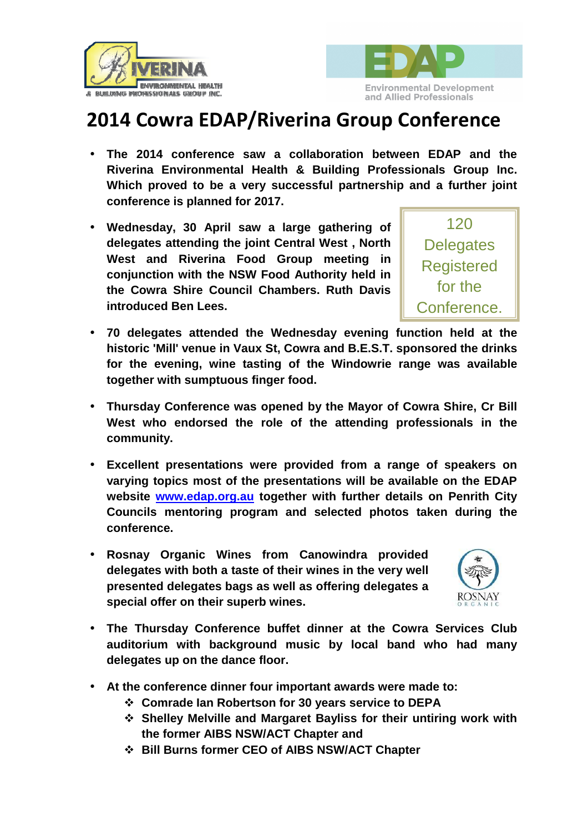



## **2014 Cowra EDAP/Riverina Group Conference**

- **The 2014 conference saw a collaboration between EDAP and the Riverina Environmental Health & Building Professionals Group Inc. Which proved to be a very successful partnership and a further joint conference is planned for 2017.**
- **Wednesday, 30 April saw a large gathering of delegates attending the joint Central West , North West and Riverina Food Group meeting in conjunction with the NSW Food Authority held in the Cowra Shire Council Chambers. Ruth Davis introduced Ben Lees.**



- **70 delegates attended the Wednesday evening function held at the historic 'Mill' venue in Vaux St, Cowra and B.E.S.T. sponsored the drinks for the evening, wine tasting of the Windowrie range was available together with sumptuous finger food.**
- **Thursday Conference was opened by the Mayor of Cowra Shire, Cr Bill West who endorsed the role of the attending professionals in the community.**
- **Excellent presentations were provided from a range of speakers on varying topics most of the presentations will be available on the EDAP website www.edap.org.au together with further details on Penrith City Councils mentoring program and selected photos taken during the conference.**
- **Rosnay Organic Wines from Canowindra provided delegates with both a taste of their wines in the very well presented delegates bags as well as offering delegates a special offer on their superb wines.**



- **The Thursday Conference buffet dinner at the Cowra Services Club auditorium with background music by local band who had many delegates up on the dance floor.**
- **At the conference dinner four important awards were made to:** 
	- **Comrade Ian Robertson for 30 years service to DEPA**
	- **Shelley Melville and Margaret Bayliss for their untiring work with the former AIBS NSW/ACT Chapter and**
	- **Bill Burns former CEO of AIBS NSW/ACT Chapter**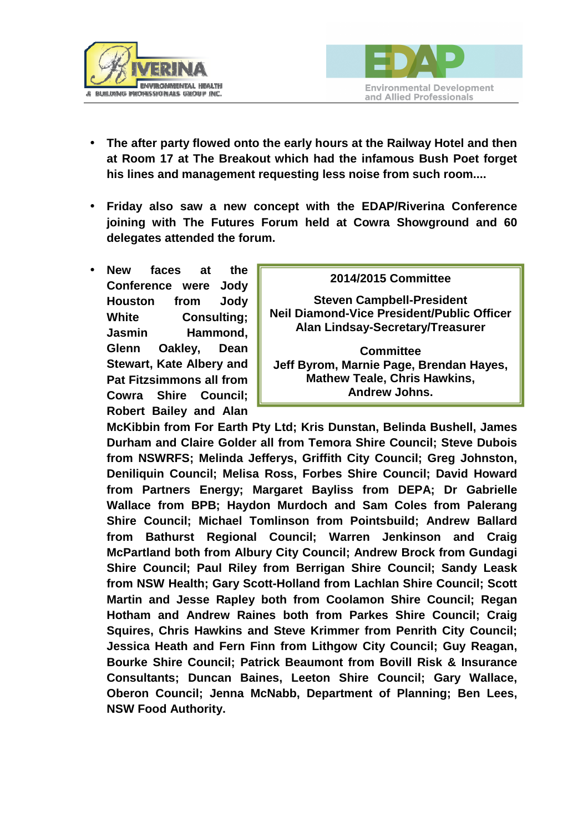



- **The after party flowed onto the early hours at the Railway Hotel and then at Room 17 at The Breakout which had the infamous Bush Poet forget his lines and management requesting less noise from such room....**
- **Friday also saw a new concept with the EDAP/Riverina Conference joining with The Futures Forum held at Cowra Showground and 60 delegates attended the forum.**
- **New faces at the Conference were Jody Houston from Jody White Consulting; Jasmin Hammond, Glenn Oakley, Dean Stewart, Kate Albery and Pat Fitzsimmons all from Cowra Shire Council; Robert Bailey and Alan**

## **2014/2015 Committee Steven Campbell-President Neil Diamond-Vice President/Public Officer Alan Lindsay-Secretary/Treasurer Committee Jeff Byrom, Marnie Page, Brendan Hayes, Mathew Teale, Chris Hawkins, Andrew Johns.**

**McKibbin from For Earth Pty Ltd; Kris Dunstan, Belinda Bushell, James Durham and Claire Golder all from Temora Shire Council; Steve Dubois from NSWRFS; Melinda Jefferys, Griffith City Council; Greg Johnston, Deniliquin Council; Melisa Ross, Forbes Shire Council; David Howard from Partners Energy; Margaret Bayliss from DEPA; Dr Gabrielle Wallace from BPB; Haydon Murdoch and Sam Coles from Palerang Shire Council; Michael Tomlinson from Pointsbuild; Andrew Ballard from Bathurst Regional Council; Warren Jenkinson and Craig McPartland both from Albury City Council; Andrew Brock from Gundagi Shire Council; Paul Riley from Berrigan Shire Council; Sandy Leask from NSW Health; Gary Scott-Holland from Lachlan Shire Council; Scott Martin and Jesse Rapley both from Coolamon Shire Council; Regan Hotham and Andrew Raines both from Parkes Shire Council; Craig Squires, Chris Hawkins and Steve Krimmer from Penrith City Council; Jessica Heath and Fern Finn from Lithgow City Council; Guy Reagan, Bourke Shire Council; Patrick Beaumont from Bovill Risk & Insurance Consultants; Duncan Baines, Leeton Shire Council; Gary Wallace, Oberon Council; Jenna McNabb, Department of Planning; Ben Lees, NSW Food Authority.**